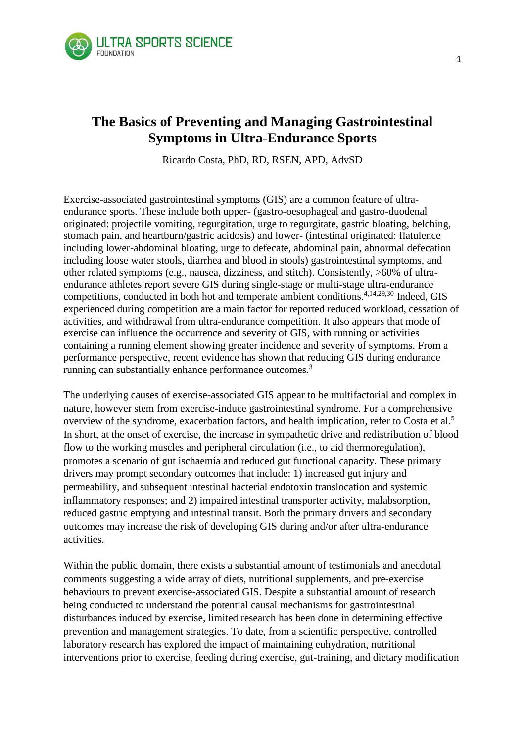

# **The Basics of Preventing and Managing Gastrointestinal Symptoms in Ultra-Endurance Sports**

Ricardo Costa, PhD, RD, RSEN, APD, AdvSD

Exercise-associated gastrointestinal symptoms (GIS) are a common feature of ultraendurance sports. These include both upper- (gastro-oesophageal and gastro-duodenal originated: projectile vomiting, regurgitation, urge to regurgitate, gastric bloating, belching, stomach pain, and heartburn/gastric acidosis) and lower- (intestinal originated: flatulence including lower-abdominal bloating, urge to defecate, abdominal pain, abnormal defecation including loose water stools, diarrhea and blood in stools) gastrointestinal symptoms, and other related symptoms (e.g., nausea, dizziness, and stitch). Consistently, >60% of ultraendurance athletes report severe GIS during single-stage or multi-stage ultra-endurance competitions, conducted in both hot and temperate ambient conditions.4,14,29,30 Indeed, GIS experienced during competition are a main factor for reported reduced workload, cessation of activities, and withdrawal from ultra-endurance competition. It also appears that mode of exercise can influence the occurrence and severity of GIS, with running or activities containing a running element showing greater incidence and severity of symptoms. From a performance perspective, recent evidence has shown that reducing GIS during endurance running can substantially enhance performance outcomes.<sup>3</sup>

The underlying causes of exercise-associated GIS appear to be multifactorial and complex in nature, however stem from exercise-induce gastrointestinal syndrome. For a comprehensive overview of the syndrome, exacerbation factors, and health implication, refer to Costa et al.<sup>5</sup> In short, at the onset of exercise, the increase in sympathetic drive and redistribution of blood flow to the working muscles and peripheral circulation (i.e., to aid thermoregulation), promotes a scenario of gut ischaemia and reduced gut functional capacity. These primary drivers may prompt secondary outcomes that include: 1) increased gut injury and permeability, and subsequent intestinal bacterial endotoxin translocation and systemic inflammatory responses; and 2) impaired intestinal transporter activity, malabsorption, reduced gastric emptying and intestinal transit. Both the primary drivers and secondary outcomes may increase the risk of developing GIS during and/or after ultra-endurance activities.

Within the public domain, there exists a substantial amount of testimonials and anecdotal comments suggesting a wide array of diets, nutritional supplements, and pre-exercise behaviours to prevent exercise-associated GIS. Despite a substantial amount of research being conducted to understand the potential causal mechanisms for gastrointestinal disturbances induced by exercise, limited research has been done in determining effective prevention and management strategies. To date, from a scientific perspective, controlled laboratory research has explored the impact of maintaining euhydration, nutritional interventions prior to exercise, feeding during exercise, gut-training, and dietary modification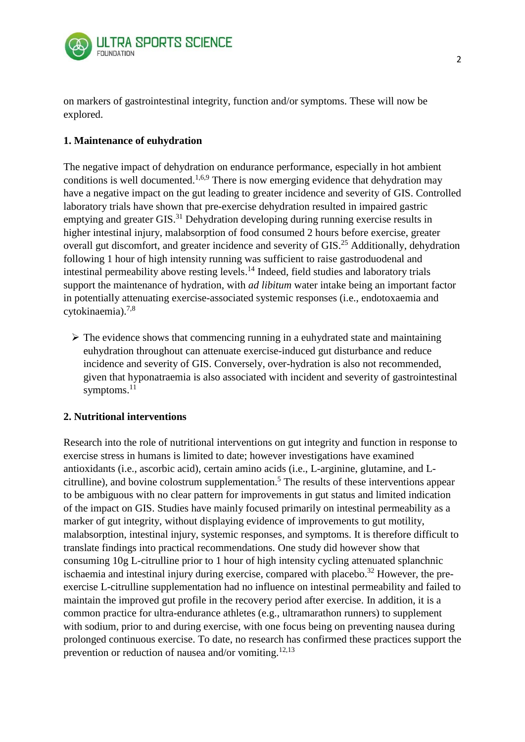

on markers of gastrointestinal integrity, function and/or symptoms. These will now be explored.

## **1. Maintenance of euhydration**

The negative impact of dehydration on endurance performance, especially in hot ambient conditions is well documented.<sup>1,6,9</sup> There is now emerging evidence that dehydration may have a negative impact on the gut leading to greater incidence and severity of GIS. Controlled laboratory trials have shown that pre-exercise dehydration resulted in impaired gastric emptying and greater GIS.<sup>31</sup> Dehydration developing during running exercise results in higher intestinal injury, malabsorption of food consumed 2 hours before exercise, greater overall gut discomfort, and greater incidence and severity of GIS.<sup>25</sup> Additionally, dehydration following 1 hour of high intensity running was sufficient to raise gastroduodenal and intestinal permeability above resting levels. <sup>14</sup> Indeed, field studies and laboratory trials support the maintenance of hydration, with *ad libitum* water intake being an important factor in potentially attenuating exercise-associated systemic responses (i.e., endotoxaemia and cytokinaemia). $7,8$ 

 $\triangleright$  The evidence shows that commencing running in a euhydrated state and maintaining euhydration throughout can attenuate exercise-induced gut disturbance and reduce incidence and severity of GIS. Conversely, over-hydration is also not recommended, given that hyponatraemia is also associated with incident and severity of gastrointestinal symptoms.<sup>11</sup>

## **2. Nutritional interventions**

Research into the role of nutritional interventions on gut integrity and function in response to exercise stress in humans is limited to date; however investigations have examined antioxidants (i.e., ascorbic acid), certain amino acids (i.e., L-arginine, glutamine, and Lcitrulline), and bovine colostrum supplementation. <sup>5</sup> The results of these interventions appear to be ambiguous with no clear pattern for improvements in gut status and limited indication of the impact on GIS. Studies have mainly focused primarily on intestinal permeability as a marker of gut integrity, without displaying evidence of improvements to gut motility, malabsorption, intestinal injury, systemic responses, and symptoms. It is therefore difficult to translate findings into practical recommendations. One study did however show that consuming 10g L-citrulline prior to 1 hour of high intensity cycling attenuated splanchnic ischaemia and intestinal injury during exercise, compared with placebo.<sup>32</sup> However, the preexercise L-citrulline supplementation had no influence on intestinal permeability and failed to maintain the improved gut profile in the recovery period after exercise. In addition, it is a common practice for ultra-endurance athletes (e.g., ultramarathon runners) to supplement with sodium, prior to and during exercise, with one focus being on preventing nausea during prolonged continuous exercise. To date, no research has confirmed these practices support the prevention or reduction of nausea and/or vomiting.<sup>12,13</sup>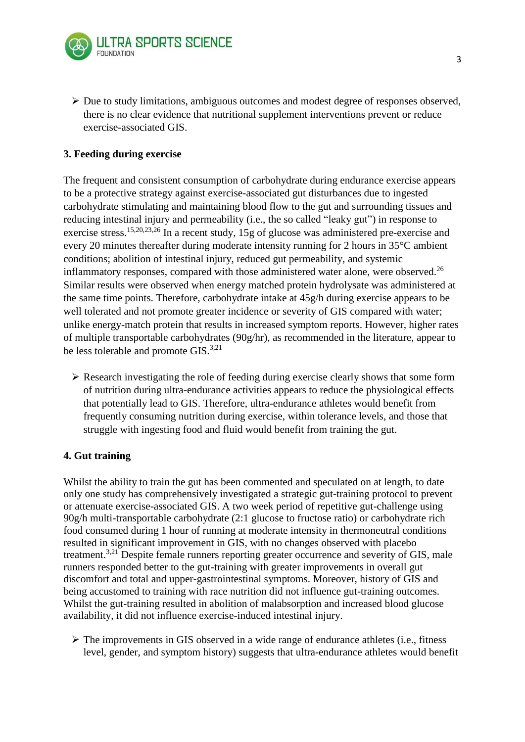

 $\triangleright$  Due to study limitations, ambiguous outcomes and modest degree of responses observed, there is no clear evidence that nutritional supplement interventions prevent or reduce exercise-associated GIS.

## **3. Feeding during exercise**

The frequent and consistent consumption of carbohydrate during endurance exercise appears to be a protective strategy against exercise-associated gut disturbances due to ingested carbohydrate stimulating and maintaining blood flow to the gut and surrounding tissues and reducing intestinal injury and permeability (i.e., the so called "leaky gut") in response to exercise stress.<sup>15,20,23,26</sup> In a recent study, 15g of glucose was administered pre-exercise and every 20 minutes thereafter during moderate intensity running for 2 hours in 35°C ambient conditions; abolition of intestinal injury, reduced gut permeability, and systemic inflammatory responses, compared with those administered water alone, were observed.<sup>26</sup> Similar results were observed when energy matched protein hydrolysate was administered at the same time points. Therefore, carbohydrate intake at 45g/h during exercise appears to be well tolerated and not promote greater incidence or severity of GIS compared with water; unlike energy-match protein that results in increased symptom reports. However, higher rates of multiple transportable carbohydrates (90g/hr), as recommended in the literature, appear to be less tolerable and promote GIS.<sup>3,21</sup>

 $\triangleright$  Research investigating the role of feeding during exercise clearly shows that some form of nutrition during ultra-endurance activities appears to reduce the physiological effects that potentially lead to GIS. Therefore, ultra-endurance athletes would benefit from frequently consuming nutrition during exercise, within tolerance levels, and those that struggle with ingesting food and fluid would benefit from training the gut.

#### **4. Gut training**

Whilst the ability to train the gut has been commented and speculated on at length, to date only one study has comprehensively investigated a strategic gut-training protocol to prevent or attenuate exercise-associated GIS. A two week period of repetitive gut-challenge using 90g/h multi-transportable carbohydrate (2:1 glucose to fructose ratio) or carbohydrate rich food consumed during 1 hour of running at moderate intensity in thermoneutral conditions resulted in significant improvement in GIS, with no changes observed with placebo treatment.<sup>3,21</sup> Despite female runners reporting greater occurrence and severity of GIS, male runners responded better to the gut-training with greater improvements in overall gut discomfort and total and upper-gastrointestinal symptoms. Moreover, history of GIS and being accustomed to training with race nutrition did not influence gut-training outcomes. Whilst the gut-training resulted in abolition of malabsorption and increased blood glucose availability, it did not influence exercise-induced intestinal injury.

 $\triangleright$  The improvements in GIS observed in a wide range of endurance athletes (i.e., fitness level, gender, and symptom history) suggests that ultra-endurance athletes would benefit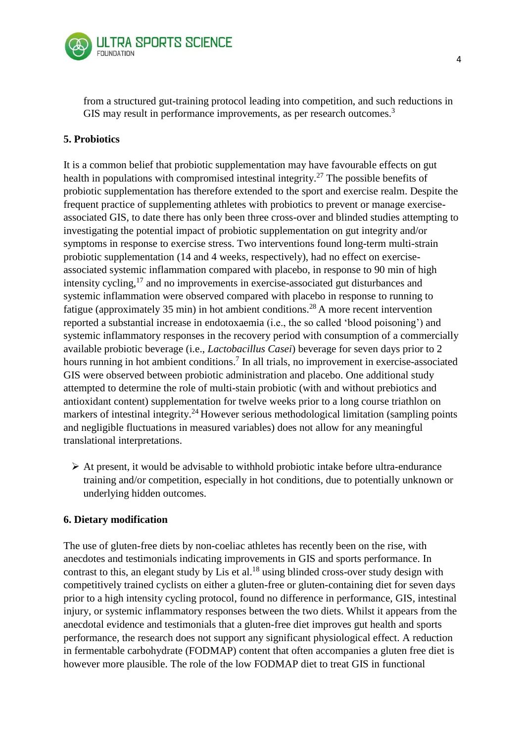

from a structured gut-training protocol leading into competition, and such reductions in GIS may result in performance improvements, as per research outcomes.<sup>3</sup>

### **5. Probiotics**

It is a common belief that probiotic supplementation may have favourable effects on gut health in populations with compromised intestinal integrity.<sup>27</sup> The possible benefits of probiotic supplementation has therefore extended to the sport and exercise realm. Despite the frequent practice of supplementing athletes with probiotics to prevent or manage exerciseassociated GIS, to date there has only been three cross-over and blinded studies attempting to investigating the potential impact of probiotic supplementation on gut integrity and/or symptoms in response to exercise stress. Two interventions found long-term multi-strain probiotic supplementation (14 and 4 weeks, respectively), had no effect on exerciseassociated systemic inflammation compared with placebo, in response to 90 min of high intensity cycling, $17$  and no improvements in exercise-associated gut disturbances and systemic inflammation were observed compared with placebo in response to running to fatigue (approximately 35 min) in hot ambient conditions.<sup>28</sup> A more recent intervention reported a substantial increase in endotoxaemia (i.e., the so called 'blood poisoning') and systemic inflammatory responses in the recovery period with consumption of a commercially available probiotic beverage (i.e., *Lactobacillus Casei*) beverage for seven days prior to 2 hours running in hot ambient conditions.<sup>7</sup> In all trials, no improvement in exercise-associated GIS were observed between probiotic administration and placebo. One additional study attempted to determine the role of multi-stain probiotic (with and without prebiotics and antioxidant content) supplementation for twelve weeks prior to a long course triathlon on markers of intestinal integrity.<sup>24</sup> However serious methodological limitation (sampling points and negligible fluctuations in measured variables) does not allow for any meaningful translational interpretations.

 $\triangleright$  At present, it would be advisable to withhold probiotic intake before ultra-endurance training and/or competition, especially in hot conditions, due to potentially unknown or underlying hidden outcomes.

#### **6. Dietary modification**

The use of gluten-free diets by non-coeliac athletes has recently been on the rise, with anecdotes and testimonials indicating improvements in GIS and sports performance. In contrast to this, an elegant study by Lis et al.<sup>18</sup> using blinded cross-over study design with competitively trained cyclists on either a gluten-free or gluten-containing diet for seven days prior to a high intensity cycling protocol, found no difference in performance, GIS, intestinal injury, or systemic inflammatory responses between the two diets. Whilst it appears from the anecdotal evidence and testimonials that a gluten-free diet improves gut health and sports performance, the research does not support any significant physiological effect. A reduction in fermentable carbohydrate (FODMAP) content that often accompanies a gluten free diet is however more plausible. The role of the low FODMAP diet to treat GIS in functional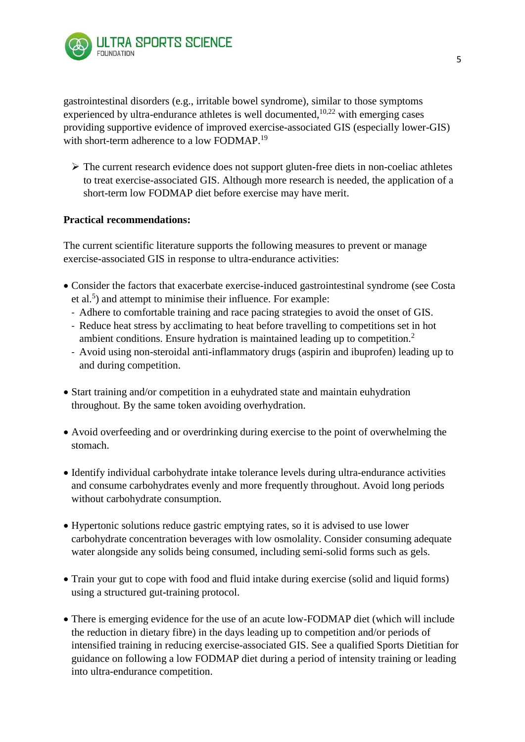

gastrointestinal disorders (e.g., irritable bowel syndrome), similar to those symptoms experienced by ultra-endurance athletes is well documented,  $10,22$  with emerging cases providing supportive evidence of improved exercise-associated GIS (especially lower-GIS) with short-term adherence to a low FODMAP.<sup>19</sup>

 $\triangleright$  The current research evidence does not support gluten-free diets in non-coeliac athletes to treat exercise-associated GIS. Although more research is needed, the application of a short-term low FODMAP diet before exercise may have merit.

#### **Practical recommendations:**

The current scientific literature supports the following measures to prevent or manage exercise-associated GIS in response to ultra-endurance activities:

- Consider the factors that exacerbate exercise-induced gastrointestinal syndrome (see Costa et al.<sup>5</sup>) and attempt to minimise their influence. For example:
	- Adhere to comfortable training and race pacing strategies to avoid the onset of GIS.
	- Reduce heat stress by acclimating to heat before travelling to competitions set in hot ambient conditions. Ensure hydration is maintained leading up to competition.<sup>2</sup>
	- Avoid using non-steroidal anti-inflammatory drugs (aspirin and ibuprofen) leading up to and during competition.
- Start training and/or competition in a euhydrated state and maintain euhydration throughout. By the same token avoiding overhydration.
- Avoid overfeeding and or overdrinking during exercise to the point of overwhelming the stomach.
- Identify individual carbohydrate intake tolerance levels during ultra-endurance activities and consume carbohydrates evenly and more frequently throughout. Avoid long periods without carbohydrate consumption.
- Hypertonic solutions reduce gastric emptying rates, so it is advised to use lower carbohydrate concentration beverages with low osmolality. Consider consuming adequate water alongside any solids being consumed, including semi-solid forms such as gels.
- Train your gut to cope with food and fluid intake during exercise (solid and liquid forms) using a structured gut-training protocol.
- There is emerging evidence for the use of an acute low-FODMAP diet (which will include the reduction in dietary fibre) in the days leading up to competition and/or periods of intensified training in reducing exercise-associated GIS. See a qualified Sports Dietitian for guidance on following a low FODMAP diet during a period of intensity training or leading into ultra-endurance competition.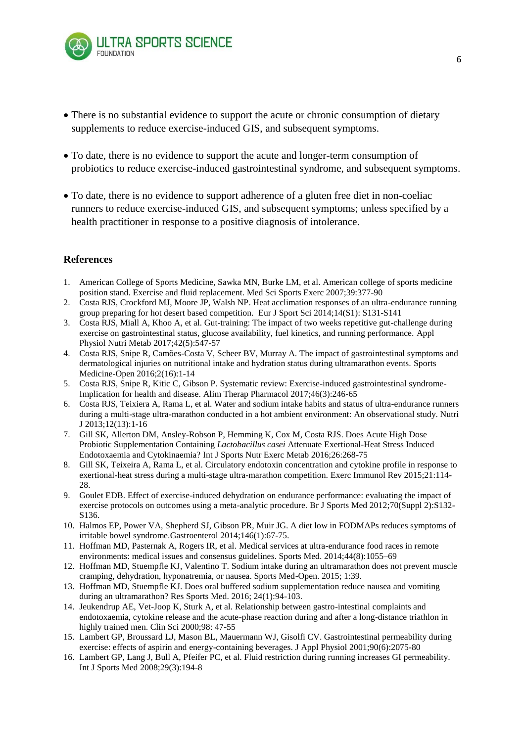

- There is no substantial evidence to support the acute or chronic consumption of dietary supplements to reduce exercise-induced GIS, and subsequent symptoms.
- To date, there is no evidence to support the acute and longer-term consumption of probiotics to reduce exercise-induced gastrointestinal syndrome, and subsequent symptoms.
- To date, there is no evidence to support adherence of a gluten free diet in non-coeliac runners to reduce exercise-induced GIS, and subsequent symptoms; unless specified by a health practitioner in response to a positive diagnosis of intolerance.

#### **References**

- 1. American College of Sports Medicine, Sawka MN, Burke LM, et al. American college of sports medicine position stand. Exercise and fluid replacement. Med Sci Sports Exerc 2007;39:377-90
- 2. Costa RJS, Crockford MJ, Moore JP, Walsh NP. Heat acclimation responses of an ultra-endurance running group preparing for hot desert based competition. Eur J Sport Sci 2014;14(S1): S131-S141
- 3. Costa RJS, Miall A, Khoo A, et al. Gut-training: The impact of two weeks repetitive gut-challenge during exercise on gastrointestinal status, glucose availability, fuel kinetics, and running performance. Appl Physiol Nutri Metab 2017;42(5):547-57
- 4. Costa RJS, Snipe R, Camões-Costa V, Scheer BV, Murray A. The impact of gastrointestinal symptoms and dermatological injuries on nutritional intake and hydration status during ultramarathon events. Sports Medicine-Open 2016;2(16):1-14
- 5. Costa RJS, Snipe R, Kitic C, Gibson P. Systematic review: Exercise-induced gastrointestinal syndrome-Implication for health and disease. Alim Therap Pharmacol 2017;46(3):246-65
- 6. Costa RJS, Teixiera A, Rama L, et al. Water and sodium intake habits and status of ultra-endurance runners during a multi-stage ultra-marathon conducted in a hot ambient environment: An observational study. Nutri J 2013;12(13):1-16
- 7. Gill SK, Allerton DM, Ansley-Robson P, Hemming K, Cox M, Costa RJS. Does Acute High Dose Probiotic Supplementation Containing *Lactobacillus casei* Attenuate Exertional-Heat Stress Induced Endotoxaemia and Cytokinaemia? Int J Sports Nutr Exerc Metab 2016;26:268-75
- 8. Gill SK, Teixeira A, Rama L, et al. Circulatory endotoxin concentration and cytokine profile in response to exertional-heat stress during a multi-stage ultra-marathon competition. Exerc Immunol Rev 2015;21:114- 28.
- 9. Goulet EDB. Effect of exercise-induced dehydration on endurance performance: evaluating the impact of exercise protocols on outcomes using a meta-analytic procedure. Br J Sports Med 2012;70(Suppl 2):S132- S136.
- 10. Halmos EP, Power VA, Shepherd SJ, Gibson PR, Muir JG. A diet low in FODMAPs reduces symptoms of irritable bowel syndrome.Gastroenterol 2014;146(1):67-75.
- 11. Hoffman MD, Pasternak A, Rogers IR, et al. Medical services at ultra-endurance food races in remote environments: medical issues and consensus guidelines. Sports Med. 2014;44(8):1055–69
- 12. Hoffman MD, Stuempfle KJ, Valentino T. Sodium intake during an ultramarathon does not prevent muscle cramping, dehydration, hyponatremia, or nausea. Sports Med-Open. 2015; 1:39.
- 13. Hoffman MD, Stuempfle KJ. Does oral buffered sodium supplementation reduce nausea and vomiting during an ultramarathon? Res Sports Med. 2016; 24(1):94-103.
- 14. Jeukendrup AE, Vet-Joop K, Sturk A, et al. Relationship between gastro-intestinal complaints and endotoxaemia, cytokine release and the acute-phase reaction during and after a long-distance triathlon in highly trained men. Clin Sci 2000;98: 47-55
- 15. Lambert GP, Broussard LJ, Mason BL, Mauermann WJ, Gisolfi CV. Gastrointestinal permeability during exercise: effects of aspirin and energy-containing beverages. J Appl Physiol 2001;90(6):2075-80
- 16. Lambert GP, Lang J, Bull A, Pfeifer PC, et al. Fluid restriction during running increases GI permeability. Int J Sports Med 2008;29(3):194-8